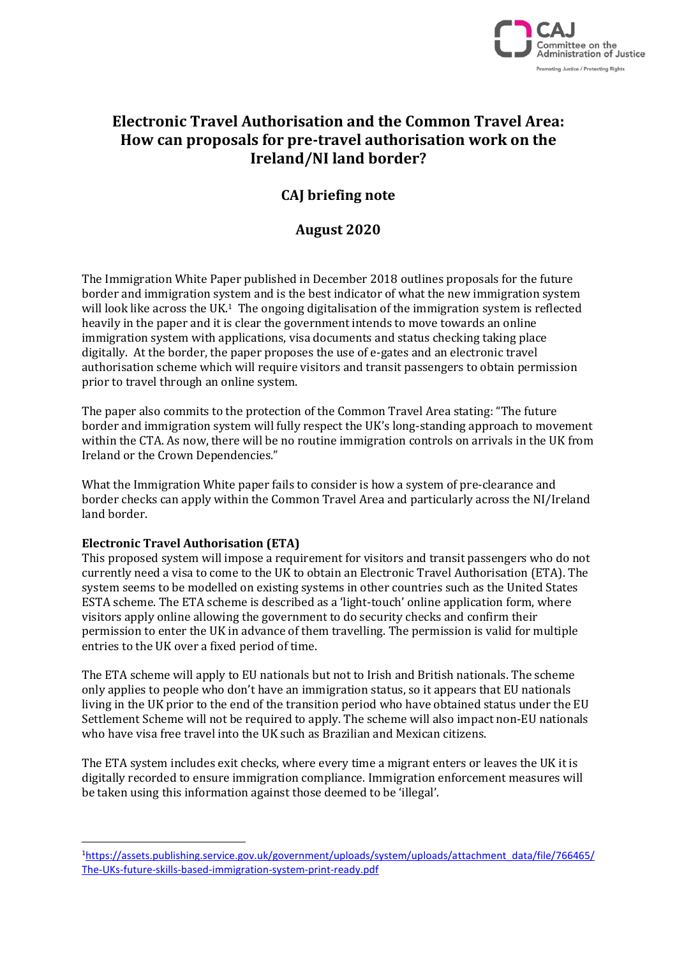

# **Electronic Travel Authorisation and the Common Travel Area: How can proposals for pre-travel authorisation work on the Ireland/NI land border?**

## **CAJ briefing note**

## **August 2020**

The Immigration White Paper published in December 2018 outlines proposals for the future border and immigration system and is the best indicator of what the new immigration system will look like across the UK.<sup>1</sup> The ongoing digitalisation of the immigration system is reflected heavily in the paper and it is clear the government intends to move towards an online immigration system with applications, visa documents and status checking taking place digitally. At the border, the paper proposes the use of e-gates and an electronic travel authorisation scheme which will require visitors and transit passengers to obtain permission prior to travel through an online system.

The paper also commits to the protection of the Common Travel Area stating: "The future border and immigration system will fully respect the UK's long-standing approach to movement within the CTA. As now, there will be no routine immigration controls on arrivals in the UK from Ireland or the Crown Dependencies."

What the Immigration White paper fails to consider is how a system of pre-clearance and border checks can apply within the Common Travel Area and particularly across the NI/Ireland land border.

### **Electronic Travel Authorisation (ETA)**

This proposed system will impose a requirement for visitors and transit passengers who do not currently need a visa to come to the UK to obtain an Electronic Travel Authorisation (ETA). The system seems to be modelled on existing systems in other countries such as the United States ESTA scheme. The ETA scheme is described as a 'light-touch' online application form, where visitors apply online allowing the government to do security checks and confirm their permission to enter the UK in advance of them travelling. The permission is valid for multiple entries to the UK over a fixed period of time.

The ETA scheme will apply to EU nationals but not to Irish and British nationals. The scheme only applies to people who don't have an immigration status, so it appears that EU nationals living in the UK prior to the end of the transition period who have obtained status under the EU Settlement Scheme will not be required to apply. The scheme will also impact non-EU nationals who have visa free travel into the UK such as Brazilian and Mexican citizens.

The ETA system includes exit checks, where every time a migrant enters or leaves the UK it is digitally recorded to ensure immigration compliance. Immigration enforcement measures will be taken using this information against those deemed to be 'illegal'.

<sup>1</sup>[https://assets.publishing.service.gov.uk/government/uploads/system/uploads/attachment\\_data/file/766465/](https://assets.publishing.service.gov.uk/government/uploads/system/uploads/attachment_data/file/766465/The-UKs-future-skills-based-immigration-system-print-ready.pdf) [The-UKs-future-skills-based-immigration-system-print-ready.pdf](https://assets.publishing.service.gov.uk/government/uploads/system/uploads/attachment_data/file/766465/The-UKs-future-skills-based-immigration-system-print-ready.pdf)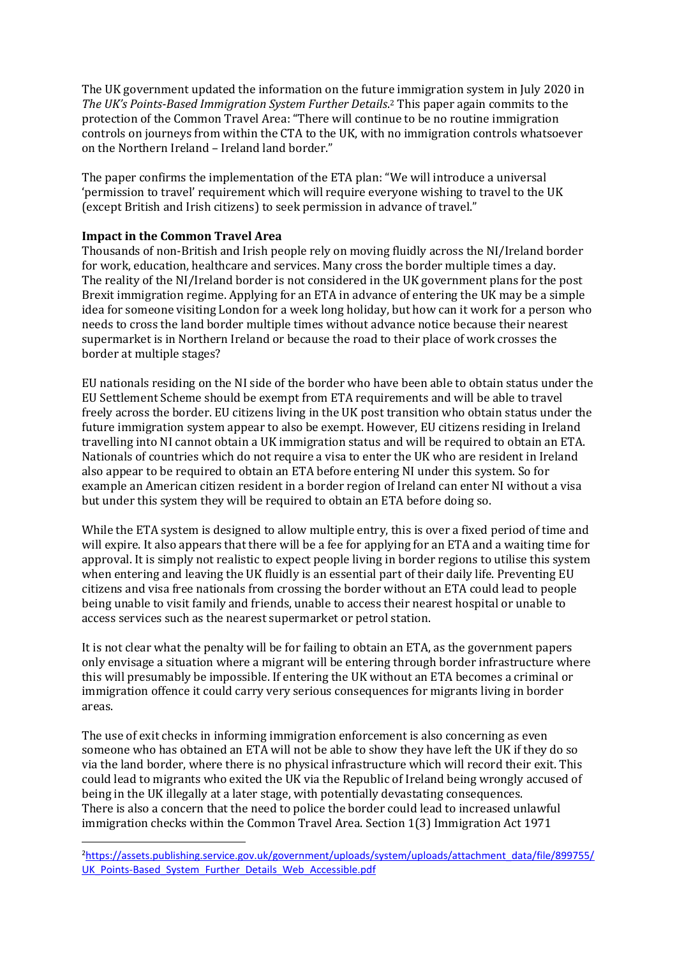The UK government updated the information on the future immigration system in July 2020 in *The UK's Points-Based Immigration System Further Details*. <sup>2</sup> This paper again commits to the protection of the Common Travel Area: "There will continue to be no routine immigration controls on journeys from within the CTA to the UK, with no immigration controls whatsoever on the Northern Ireland – Ireland land border."

The paper confirms the implementation of the ETA plan: "We will introduce a universal 'permission to travel' requirement which will require everyone wishing to travel to the UK (except British and Irish citizens) to seek permission in advance of travel."

### **Impact in the Common Travel Area**

Thousands of non-British and Irish people rely on moving fluidly across the NI/Ireland border for work, education, healthcare and services. Many cross the border multiple times a day. The reality of the NI/Ireland border is not considered in the UK government plans for the post Brexit immigration regime. Applying for an ETA in advance of entering the UK may be a simple idea for someone visiting London for a week long holiday, but how can it work for a person who needs to cross the land border multiple times without advance notice because their nearest supermarket is in Northern Ireland or because the road to their place of work crosses the border at multiple stages?

EU nationals residing on the NI side of the border who have been able to obtain status under the EU Settlement Scheme should be exempt from ETA requirements and will be able to travel freely across the border. EU citizens living in the UK post transition who obtain status under the future immigration system appear to also be exempt. However, EU citizens residing in Ireland travelling into NI cannot obtain a UK immigration status and will be required to obtain an ETA. Nationals of countries which do not require a visa to enter the UK who are resident in Ireland also appear to be required to obtain an ETA before entering NI under this system. So for example an American citizen resident in a border region of Ireland can enter NI without a visa but under this system they will be required to obtain an ETA before doing so.

While the ETA system is designed to allow multiple entry, this is over a fixed period of time and will expire. It also appears that there will be a fee for applying for an ETA and a waiting time for approval. It is simply not realistic to expect people living in border regions to utilise this system when entering and leaving the UK fluidly is an essential part of their daily life. Preventing EU citizens and visa free nationals from crossing the border without an ETA could lead to people being unable to visit family and friends, unable to access their nearest hospital or unable to access services such as the nearest supermarket or petrol station.

It is not clear what the penalty will be for failing to obtain an ETA, as the government papers only envisage a situation where a migrant will be entering through border infrastructure where this will presumably be impossible. If entering the UK without an ETA becomes a criminal or immigration offence it could carry very serious consequences for migrants living in border areas.

The use of exit checks in informing immigration enforcement is also concerning as even someone who has obtained an ETA will not be able to show they have left the UK if they do so via the land border, where there is no physical infrastructure which will record their exit. This could lead to migrants who exited the UK via the Republic of Ireland being wrongly accused of being in the UK illegally at a later stage, with potentially devastating consequences. There is also a concern that the need to police the border could lead to increased unlawful immigration checks within the Common Travel Area. Section 1(3) Immigration Act 1971

<sup>2</sup>[https://assets.publishing.service.gov.uk/government/uploads/system/uploads/attachment\\_data/file/899755/](https://assets.publishing.service.gov.uk/government/uploads/system/uploads/attachment_data/file/899755/UK_Points-Based_System_Further_Details_Web_Accessible.pdf) UK Points-Based System Further Details Web Accessible.pdf